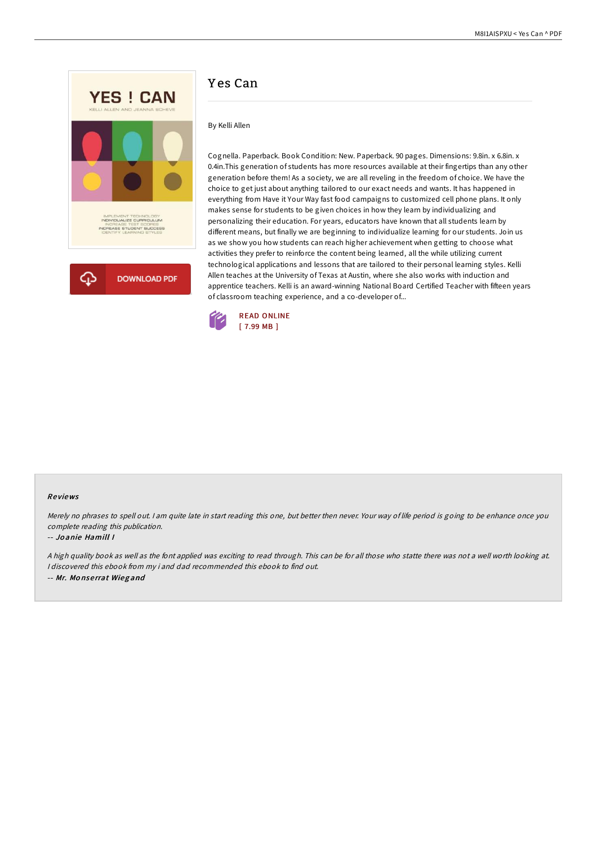

# Y es Can

### By Kelli Allen

Cognella. Paperback. Book Condition: New. Paperback. 90 pages. Dimensions: 9.8in. x 6.8in. x 0.4in.This generation of students has more resources available at their fingertips than any other generation before them! As a society, we are all reveling in the freedom of choice. We have the choice to get just about anything tailored to our exact needs and wants. It has happened in everything from Have it Your Way fast food campaigns to customized cell phone plans. It only makes sense for students to be given choices in how they learn by individualizing and personalizing their education. For years, educators have known that all students learn by different means, but finally we are beginning to individualize learning for our students. Join us as we show you how students can reach higher achievement when getting to choose what activities they prefer to reinforce the content being learned, all the while utilizing current technological applications and lessons that are tailored to their personal learning styles. Kelli Allen teaches at the University of Texas at Austin, where she also works with induction and apprentice teachers. Kelli is an award-winning National Board Certified Teacher with fifteen years of classroom teaching experience, and a co-developer of...



#### Re views

Merely no phrases to spell out. <sup>I</sup> am quite late in start reading this one, but better then never. Your way of life period is going to be enhance once you complete reading this publication.

#### -- Jo anie Hamill I

<sup>A</sup> high quality book as well as the font applied was exciting to read through. This can be for all those who statte there was not <sup>a</sup> well worth looking at. I discovered this ebook from my i and dad recommended this ebook to find out. -- Mr. Mo nse rrat Wieg and